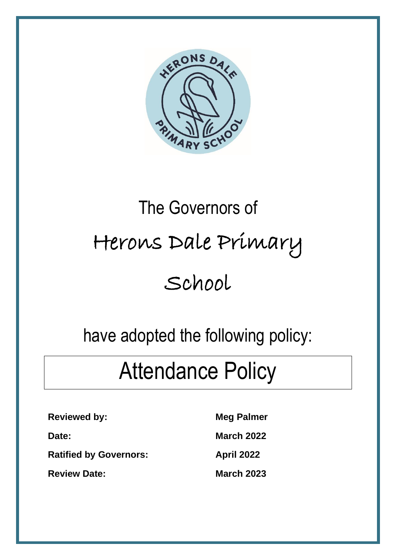

# The Governors of Herons Dale Primary School

### have adopted the following policy:

## Attendance Policy

**Reviewed by:** Meg Palmer

**Ratified by Governors: April 2022** 

**Review Date:** March 2023

**Date: March 2022**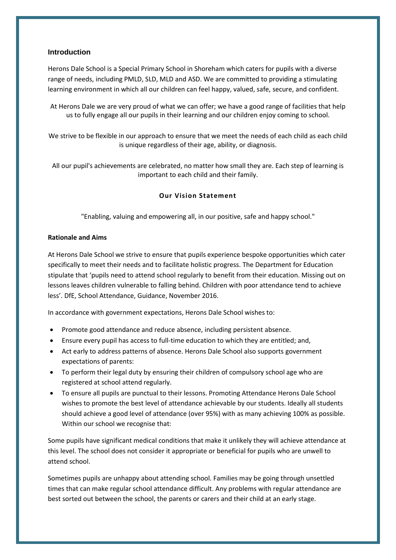#### **Introduction**

Herons Dale School is a Special Primary School in Shoreham which caters for pupils with a diverse range of needs, including PMLD, SLD, MLD and ASD. We are committed to providing a stimulating learning environment in which all our children can feel happy, valued, safe, secure, and confident.

At Herons Dale we are very proud of what we can offer; we have a good range of facilities that help us to fully engage all our pupils in their learning and our children enjoy coming to school.

We strive to be flexible in our approach to ensure that we meet the needs of each child as each child is unique regardless of their age, ability, or diagnosis.

All our pupil's achievements are celebrated, no matter how small they are. Each step of learning is important to each child and their family.

#### **Our Vision Statement**

"Enabling, valuing and empowering all, in our positive, safe and happy school."

#### **Rationale and Aims**

At Herons Dale School we strive to ensure that pupils experience bespoke opportunities which cater specifically to meet their needs and to facilitate holistic progress. The Department for Education stipulate that 'pupils need to attend school regularly to benefit from their education. Missing out on lessons leaves children vulnerable to falling behind. Children with poor attendance tend to achieve less'. DfE, School Attendance, Guidance, November 2016.

In accordance with government expectations, Herons Dale School wishes to:

- Promote good attendance and reduce absence, including persistent absence.
- Ensure every pupil has access to full-time education to which they are entitled; and,
- Act early to address patterns of absence. Herons Dale School also supports government expectations of parents:
- To perform their legal duty by ensuring their children of compulsory school age who are registered at school attend regularly.
- To ensure all pupils are punctual to their lessons. Promoting Attendance Herons Dale School wishes to promote the best level of attendance achievable by our students. Ideally all students should achieve a good level of attendance (over 95%) with as many achieving 100% as possible. Within our school we recognise that:

Some pupils have significant medical conditions that make it unlikely they will achieve attendance at this level. The school does not consider it appropriate or beneficial for pupils who are unwell to attend school.

Sometimes pupils are unhappy about attending school. Families may be going through unsettled times that can make regular school attendance difficult. Any problems with regular attendance are best sorted out between the school, the parents or carers and their child at an early stage.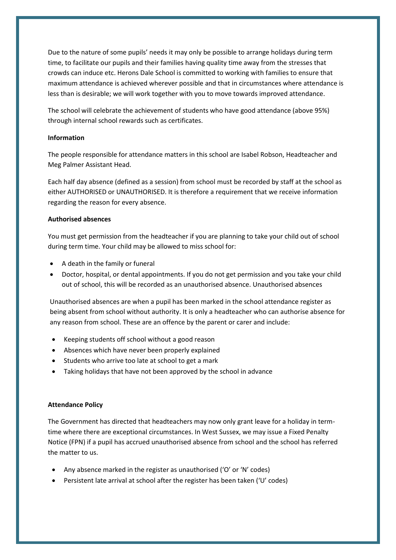Due to the nature of some pupils' needs it may only be possible to arrange holidays during term time, to facilitate our pupils and their families having quality time away from the stresses that crowds can induce etc. Herons Dale School is committed to working with families to ensure that maximum attendance is achieved wherever possible and that in circumstances where attendance is less than is desirable; we will work together with you to move towards improved attendance.

The school will celebrate the achievement of students who have good attendance (above 95%) through internal school rewards such as certificates.

#### **Information**

The people responsible for attendance matters in this school are Isabel Robson, Headteacher and Meg Palmer Assistant Head.

Each half day absence (defined as a session) from school must be recorded by staff at the school as either AUTHORISED or UNAUTHORISED. It is therefore a requirement that we receive information regarding the reason for every absence.

#### **Authorised absences**

You must get permission from the headteacher if you are planning to take your child out of school during term time. Your child may be allowed to miss school for:

- A death in the family or funeral
- Doctor, hospital, or dental appointments. If you do not get permission and you take your child out of school, this will be recorded as an unauthorised absence. Unauthorised absences

Unauthorised absences are when a pupil has been marked in the school attendance register as being absent from school without authority. It is only a headteacher who can authorise absence for any reason from school. These are an offence by the parent or carer and include:

- Keeping students off school without a good reason
- Absences which have never been properly explained
- Students who arrive too late at school to get a mark
- Taking holidays that have not been approved by the school in advance

#### **Attendance Policy**

The Government has directed that headteachers may now only grant leave for a holiday in termtime where there are exceptional circumstances. In West Sussex, we may issue a Fixed Penalty Notice (FPN) if a pupil has accrued unauthorised absence from school and the school has referred the matter to us.

- Any absence marked in the register as unauthorised ('O' or 'N' codes)
- Persistent late arrival at school after the register has been taken ('U' codes)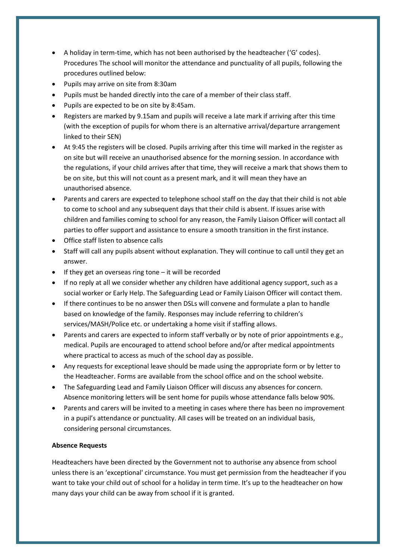- A holiday in term-time, which has not been authorised by the headteacher ('G' codes). Procedures The school will monitor the attendance and punctuality of all pupils, following the procedures outlined below:
- Pupils may arrive on site from 8:30am
- Pupils must be handed directly into the care of a member of their class staff.
- Pupils are expected to be on site by 8:45am.
- Registers are marked by 9.15am and pupils will receive a late mark if arriving after this time (with the exception of pupils for whom there is an alternative arrival/departure arrangement linked to their SEN)
- At 9:45 the registers will be closed. Pupils arriving after this time will marked in the register as on site but will receive an unauthorised absence for the morning session. In accordance with the regulations, if your child arrives after that time, they will receive a mark that shows them to be on site, but this will not count as a present mark, and it will mean they have an unauthorised absence.
- Parents and carers are expected to telephone school staff on the day that their child is not able to come to school and any subsequent days that their child is absent. If issues arise with children and families coming to school for any reason, the Family Liaison Officer will contact all parties to offer support and assistance to ensure a smooth transition in the first instance.
- Office staff listen to absence calls
- Staff will call any pupils absent without explanation. They will continue to call until they get an answer.
- If they get an overseas ring tone  $-$  it will be recorded
- If no reply at all we consider whether any children have additional agency support, such as a social worker or Early Help. The Safeguarding Lead or Family Liaison Officer will contact them.
- If there continues to be no answer then DSLs will convene and formulate a plan to handle based on knowledge of the family. Responses may include referring to children's services/MASH/Police etc. or undertaking a home visit if staffing allows.
- Parents and carers are expected to inform staff verbally or by note of prior appointments e.g., medical. Pupils are encouraged to attend school before and/or after medical appointments where practical to access as much of the school day as possible.
- Any requests for exceptional leave should be made using the appropriate form or by letter to the Headteacher. Forms are available from the school office and on the school website.
- The Safeguarding Lead and Family Liaison Officer will discuss any absences for concern. Absence monitoring letters will be sent home for pupils whose attendance falls below 90%.
- Parents and carers will be invited to a meeting in cases where there has been no improvement in a pupil's attendance or punctuality. All cases will be treated on an individual basis, considering personal circumstances.

#### **Absence Requests**

Headteachers have been directed by the Government not to authorise any absence from school unless there is an 'exceptional' circumstance. You must get permission from the headteacher if you want to take your child out of school for a holiday in term time. It's up to the headteacher on how many days your child can be away from school if it is granted.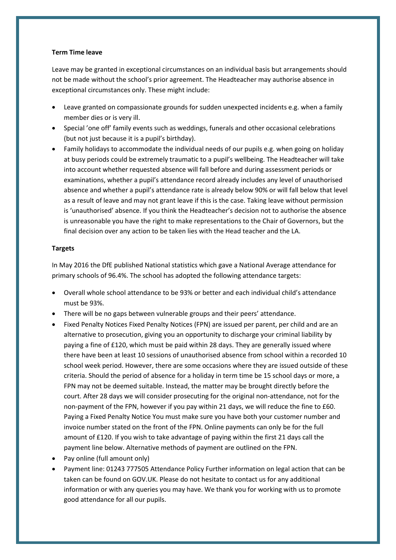#### **Term Time leave**

Leave may be granted in exceptional circumstances on an individual basis but arrangements should not be made without the school's prior agreement. The Headteacher may authorise absence in exceptional circumstances only. These might include:

- Leave granted on compassionate grounds for sudden unexpected incidents e.g. when a family member dies or is very ill.
- Special 'one off' family events such as weddings, funerals and other occasional celebrations (but not just because it is a pupil's birthday).
- Family holidays to accommodate the individual needs of our pupils e.g. when going on holiday at busy periods could be extremely traumatic to a pupil's wellbeing. The Headteacher will take into account whether requested absence will fall before and during assessment periods or examinations, whether a pupil's attendance record already includes any level of unauthorised absence and whether a pupil's attendance rate is already below 90% or will fall below that level as a result of leave and may not grant leave if this is the case. Taking leave without permission is 'unauthorised' absence. If you think the Headteacher's decision not to authorise the absence is unreasonable you have the right to make representations to the Chair of Governors, but the final decision over any action to be taken lies with the Head teacher and the LA.

#### **Targets**

In May 2016 the DfE published National statistics which gave a National Average attendance for primary schools of 96.4%. The school has adopted the following attendance targets:

- Overall whole school attendance to be 93% or better and each individual child's attendance must be 93%.
- There will be no gaps between vulnerable groups and their peers' attendance.
- Fixed Penalty Notices Fixed Penalty Notices (FPN) are issued per parent, per child and are an alternative to prosecution, giving you an opportunity to discharge your criminal liability by paying a fine of £120, which must be paid within 28 days. They are generally issued where there have been at least 10 sessions of unauthorised absence from school within a recorded 10 school week period. However, there are some occasions where they are issued outside of these criteria. Should the period of absence for a holiday in term time be 15 school days or more, a FPN may not be deemed suitable. Instead, the matter may be brought directly before the court. After 28 days we will consider prosecuting for the original non-attendance, not for the non-payment of the FPN, however if you pay within 21 days, we will reduce the fine to £60. Paying a Fixed Penalty Notice You must make sure you have both your customer number and invoice number stated on the front of the FPN. Online payments can only be for the full amount of £120. If you wish to take advantage of paying within the first 21 days call the payment line below. Alternative methods of payment are outlined on the FPN.
- Pay online (full amount only)
- Payment line: 01243 777505 Attendance Policy Further information on legal action that can be taken can be found on GOV.UK. Please do not hesitate to contact us for any additional information or with any queries you may have. We thank you for working with us to promote good attendance for all our pupils.